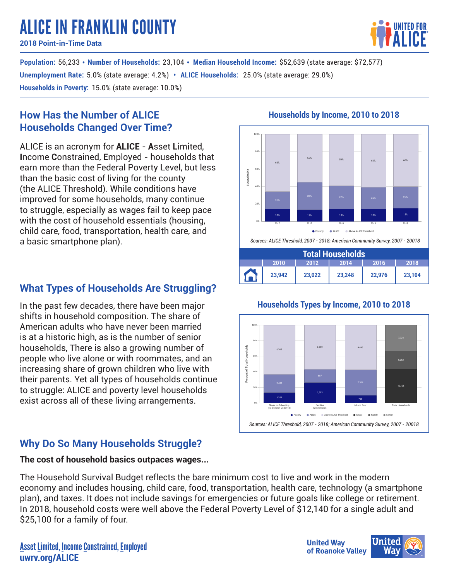# ALICE IN FRANKLIN COUNTY

**2018 Point-in-Time Data**

**Population:** 56,233 • Number of Households: 23,104 • Median Household Income: \$52,639 (state average: \$72,577) **Unemployment Rate**: 5.0% (state average: 4.2%) • ALICE Households: 25.0% (state average: 29.0%) **Households in Poverty:** 15.0% (state average: 10.0%)

## **How Has the Number of ALICE Households Changed Over Time?**

ALICE is an acronym for **ALICE** - **A**sset **L**imited, **I**ncome **C**onstrained, **E**mployed - households that earn more than the Federal Poverty Level, but less than the basic cost of living for the county (the ALICE Threshold). While conditions have improved for some households, many continue to struggle, especially as wages fail to keep pace with the cost of household essentials (housing, child care, food, transportation, health care, and a basic smartphone plan).

# **What Types of Households Are Struggling?**

In the past few decades, there have been major shifts in household composition. The share of American adults who have never been married is at a historic high, as is the number of senior households, There is also a growing number of people who live alone or with roommates, and an increasing share of grown children who live with their parents. Yet all types of households continue to struggle: ALICE and poverty level households exist across all of these living arrangements.

# **Why Do So Many Households Struggle?**

### **The cost of household basics outpaces wages...**

The Household Survival Budget reflects the bare minimum cost to live and work in the modern economy and includes housing, child care, food, transportation, health care, technology (a smartphone plan), and taxes. It does not include savings for emergencies or future goals like college or retirement. In 2018, household costs were well above the Federal Poverty Level of \$12,140 for a single adult and \$25,100 for a family of four.

## **Households by Income, 2010 to 2018**



### **Households Types by Income, 2010 to 2018**